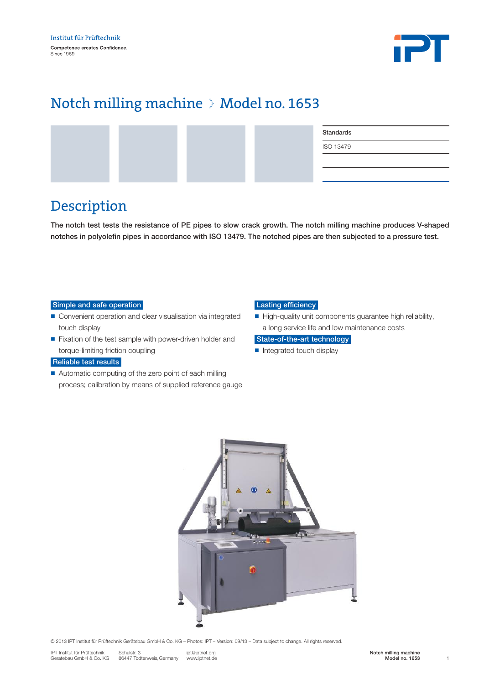

# Notch milling machine > Model no. 1653

|  |  | Standards        |
|--|--|------------------|
|  |  | <b>ISO 13479</b> |
|  |  |                  |
|  |  |                  |

### Description

The notch test tests the resistance of PE pipes to slow crack growth. The notch milling machine produces V-shaped notches in polyolefin pipes in accordance with ISO 13479. The notched pipes are then subjected to a pressure test.

#### Simple and safe operation

- Convenient operation and clear visualisation via integrated touch display
- Fixation of the test sample with power-driven holder and torque-limiting friction coupling

### Reliable test results

■ Automatic computing of the zero point of each milling process; calibration by means of supplied reference gauge

#### Lasting efficiency

 $\blacksquare$  High-quality unit components guarantee high reliability, a long service life and low maintenance costs

#### State-of-the-art technology

■ Integrated touch display



© 2013 IPT Institut für Prüftechnik Gerätebau GmbH & Co. KG – Photos: IPT – Version: 09/13 – Data subject to change. All rights reserved.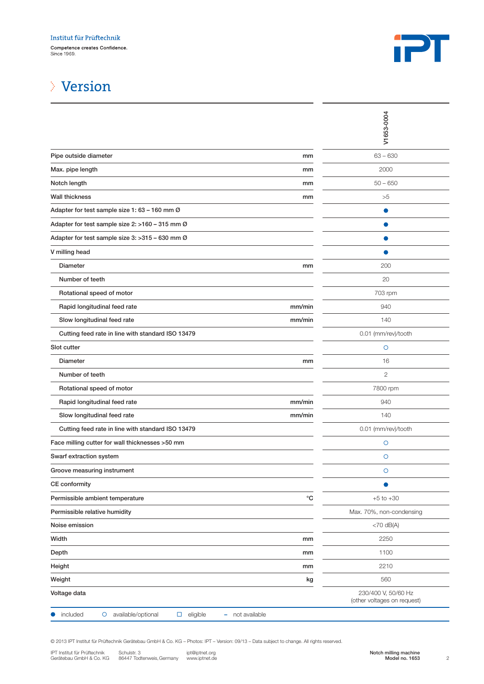

# Version

|                                                                                                                                                                                                                                                                                     |                   | V1653-0004                                                |
|-------------------------------------------------------------------------------------------------------------------------------------------------------------------------------------------------------------------------------------------------------------------------------------|-------------------|-----------------------------------------------------------|
| Pipe outside diameter                                                                                                                                                                                                                                                               | mm                | $63 - 630$                                                |
| Max. pipe length                                                                                                                                                                                                                                                                    | mm                | 2000                                                      |
| Notch length                                                                                                                                                                                                                                                                        | mm                | $50 - 650$                                                |
| <b>Wall thickness</b>                                                                                                                                                                                                                                                               | mm                | >5                                                        |
| Adapter for test sample size 1: 63 - 160 mm Ø                                                                                                                                                                                                                                       |                   |                                                           |
| Adapter for test sample size 2: >160 - 315 mm Ø                                                                                                                                                                                                                                     |                   |                                                           |
| Adapter for test sample size 3: > 315 - 630 mm Ø                                                                                                                                                                                                                                    |                   |                                                           |
| V milling head                                                                                                                                                                                                                                                                      |                   |                                                           |
| <b>Diameter</b>                                                                                                                                                                                                                                                                     | mm                | 200                                                       |
| Number of teeth                                                                                                                                                                                                                                                                     |                   | 20                                                        |
| Rotational speed of motor                                                                                                                                                                                                                                                           |                   | 703 rpm                                                   |
| Rapid longitudinal feed rate                                                                                                                                                                                                                                                        | mm/min            | 940                                                       |
| Slow longitudinal feed rate                                                                                                                                                                                                                                                         | mm/min            | 140                                                       |
| Cutting feed rate in line with standard ISO 13479                                                                                                                                                                                                                                   |                   | 0.01 (mm/rev)/tooth                                       |
| Slot cutter                                                                                                                                                                                                                                                                         |                   | $\circ$                                                   |
| Diameter                                                                                                                                                                                                                                                                            | mm                | 16                                                        |
| Number of teeth                                                                                                                                                                                                                                                                     |                   | $\mathbf{2}$                                              |
| Rotational speed of motor                                                                                                                                                                                                                                                           |                   | 7800 rpm                                                  |
| Rapid longitudinal feed rate                                                                                                                                                                                                                                                        | mm/min            | 940                                                       |
| Slow longitudinal feed rate                                                                                                                                                                                                                                                         | mm/min            | 140                                                       |
| Cutting feed rate in line with standard ISO 13479                                                                                                                                                                                                                                   |                   | 0.01 (mm/rev)/tooth                                       |
| Face milling cutter for wall thicknesses >50 mm                                                                                                                                                                                                                                     |                   | $\circ$                                                   |
| Swarf extraction system                                                                                                                                                                                                                                                             |                   | $\circ$                                                   |
| Groove measuring instrument                                                                                                                                                                                                                                                         |                   | $\circ$                                                   |
| <b>CE</b> conformity                                                                                                                                                                                                                                                                |                   |                                                           |
| Permissible ambient temperature                                                                                                                                                                                                                                                     | $^\circ \text{C}$ | $+5$ to $+30$                                             |
| Permissible relative humidity                                                                                                                                                                                                                                                       |                   | Max. 70%, non-condensing                                  |
| Noise emission                                                                                                                                                                                                                                                                      |                   | $<$ 70 dB(A)                                              |
| Width                                                                                                                                                                                                                                                                               | mm                | 2250                                                      |
| Depth                                                                                                                                                                                                                                                                               | mm                | 1100                                                      |
| Height                                                                                                                                                                                                                                                                              | mm                | 2210                                                      |
| Weight                                                                                                                                                                                                                                                                              | kg                | 560                                                       |
| Voltage data                                                                                                                                                                                                                                                                        |                   | 230/400 V, 50/60 Hz<br>(other voltages on request)        |
| included<br>O<br>available/optional<br>eligible<br>not available<br>□<br>н.                                                                                                                                                                                                         |                   |                                                           |
| © 2013 IPT Institut für Prüftechnik Gerätebau GmbH & Co. KG - Photos: IPT - Version: 09/13 - Data subject to change. All rights reserved.<br>IPT Institut für Prüftechnik<br>Schulstr. 3<br>ipt@iptnet.org<br>86447 Todtenweis, Germany<br>Gerätebau GmbH & Co. KG<br>www.iptnet.de |                   | Notch milling machine<br>Model no. 1653<br>$\overline{c}$ |